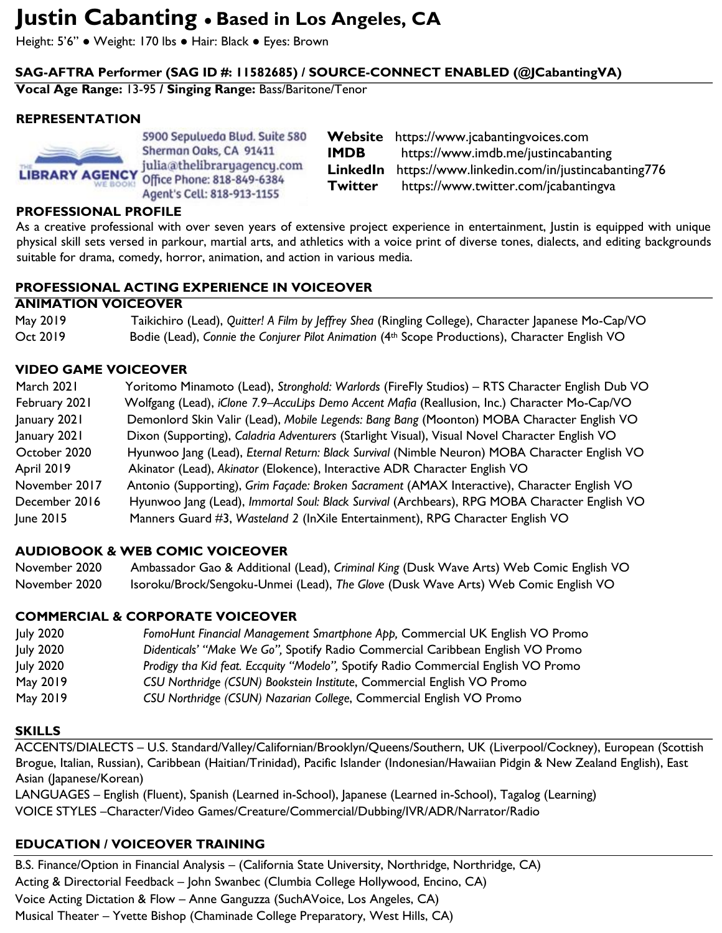# **Justin Cabanting ● Based in Los Angeles, CA**

Height: 5'6" ● Weight: 170 lbs ● Hair: Black ● Eyes: Brown

## **SAG-AFTRA Performer (SAG ID #: 11582685) / SOURCE-CONNECT ENABLED (@JCabantingVA)**

**Vocal Age Range:** 13-95 **/ Singing Range:** Bass/Baritone/Tenor

## **REPRESENTATION**



5900 Sepulveda Blud. Suite 580 Sherman Oaks, CA 91411 julia@thelibraryagency.com Office Phone: 818-849-6384 Agent's Cell: 818-913-1155

**Website** https://www.jcabantingvoices.com **IMDB** https://www.imdb.me/justincabanting **LinkedIn** https://www.linkedin.com/in/justincabanting776 **Twitter** https://www.twitter.com/jcabantingva

#### **PROFESSIONAL PROFILE**

As a creative professional with over seven years of extensive project experience in entertainment, Justin is equipped with unique physical skill sets versed in parkour, martial arts, and athletics with a voice print of diverse tones, dialects, and editing backgrounds suitable for drama, comedy, horror, animation, and action in various media.

#### **PROFESSIONAL ACTING EXPERIENCE IN VOICEOVER**

#### **ANIMATION VOICEOVER**

| May 2019 | Taikichiro (Lead), Quitter! A Film by Jeffrey Shea (Ringling College), Character Japanese Mo-Cap/VO         |
|----------|-------------------------------------------------------------------------------------------------------------|
| Oct 2019 | Bodie (Lead), Connie the Conjurer Pilot Animation (4 <sup>th</sup> Scope Productions), Character English VO |

#### **VIDEO GAME VOICEOVER**

| March 2021        | Yoritomo Minamoto (Lead), Stronghold: Warlords (FireFly Studios) – RTS Character English Dub VO |
|-------------------|-------------------------------------------------------------------------------------------------|
| February 2021     | Wolfgang (Lead), iClone 7.9-AccuLips Demo Accent Mafia (Reallusion, Inc.) Character Mo-Cap/VO   |
| January 2021      | Demonlord Skin Valir (Lead), Mobile Legends: Bang Bang (Moonton) MOBA Character English VO      |
| January 2021      | Dixon (Supporting), Caladria Adventurers (Starlight Visual), Visual Novel Character English VO  |
| October 2020      | Hyunwoo Jang (Lead), Eternal Return: Black Survival (Nimble Neuron) MOBA Character English VO   |
| <b>April 2019</b> | Akinator (Lead), Akinator (Elokence), Interactive ADR Character English VO                      |
| November 2017     | Antonio (Supporting), Grim Façade: Broken Sacrament (AMAX Interactive), Character English VO    |
| December 2016     | Hyunwoo Jang (Lead), Immortal Soul: Black Survival (Archbears), RPG MOBA Character English VO   |
| June 2015         | Manners Guard #3, Wasteland 2 (InXile Entertainment), RPG Character English VO                  |

#### **AUDIOBOOK & WEB COMIC VOICEOVER**

November 2020 Ambassador Gao & Additional (Lead), *Criminal King* (Dusk Wave Arts) Web Comic English VO November 2020 Isoroku/Brock/Sengoku-Unmei (Lead), *The Glove* (Dusk Wave Arts) Web Comic English VO

#### **COMMERCIAL & CORPORATE VOICEOVER**

| <b>July 2020</b> | FomoHunt Financial Management Smartphone App, Commercial UK English VO Promo       |
|------------------|------------------------------------------------------------------------------------|
| <b>July 2020</b> | Didenticals' "Make We Go", Spotify Radio Commercial Caribbean English VO Promo     |
| <b>July 2020</b> | Prodigy tha Kid feat. Eccquity "Modelo", Spotify Radio Commercial English VO Promo |
| May 2019         | CSU Northridge (CSUN) Bookstein Institute, Commercial English VO Promo             |
| May 2019         | CSU Northridge (CSUN) Nazarian College, Commercial English VO Promo                |

#### **SKILLS**

ACCENTS/DIALECTS – U.S. Standard/Valley/Californian/Brooklyn/Queens/Southern, UK (Liverpool/Cockney), European (Scottish Brogue, Italian, Russian), Caribbean (Haitian/Trinidad), Pacific Islander (Indonesian/Hawaiian Pidgin & New Zealand English), East Asian (Japanese/Korean)

LANGUAGES – English (Fluent), Spanish (Learned in-School), Japanese (Learned in-School), Tagalog (Learning) VOICE STYLES –Character/Video Games/Creature/Commercial/Dubbing/IVR/ADR/Narrator/Radio

## **EDUCATION / VOICEOVER TRAINING**

B.S. Finance/Option in Financial Analysis – (California State University, Northridge, Northridge, CA) Acting & Directorial Feedback – John Swanbec (Clumbia College Hollywood, Encino, CA) Voice Acting Dictation & Flow – Anne Ganguzza (SuchAVoice, Los Angeles, CA) Musical Theater – Yvette Bishop (Chaminade College Preparatory, West Hills, CA)